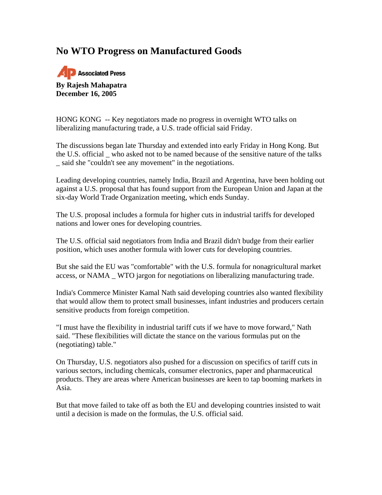## **No WTO Progress on Manufactured Goods**



HONG KONG -- Key negotiators made no progress in overnight WTO talks on liberalizing manufacturing trade, a U.S. trade official said Friday.

The discussions began late Thursday and extended into early Friday in Hong Kong. But the U.S. official \_ who asked not to be named because of the sensitive nature of the talks \_ said she "couldn't see any movement" in the negotiations.

Leading developing countries, namely India, Brazil and Argentina, have been holding out against a U.S. proposal that has found support from the European Union and Japan at the six-day World Trade Organization meeting, which ends Sunday.

The U.S. proposal includes a formula for higher cuts in industrial tariffs for developed nations and lower ones for developing countries.

The U.S. official said negotiators from India and Brazil didn't budge from their earlier position, which uses another formula with lower cuts for developing countries.

But she said the EU was "comfortable" with the U.S. formula for nonagricultural market access, or NAMA \_ WTO jargon for negotiations on liberalizing manufacturing trade.

India's Commerce Minister Kamal Nath said developing countries also wanted flexibility that would allow them to protect small businesses, infant industries and producers certain sensitive products from foreign competition.

"I must have the flexibility in industrial tariff cuts if we have to move forward," Nath said. "These flexibilities will dictate the stance on the various formulas put on the (negotiating) table."

On Thursday, U.S. negotiators also pushed for a discussion on specifics of tariff cuts in various sectors, including chemicals, consumer electronics, paper and pharmaceutical products. They are areas where American businesses are keen to tap booming markets in Asia.

But that move failed to take off as both the EU and developing countries insisted to wait until a decision is made on the formulas, the U.S. official said.